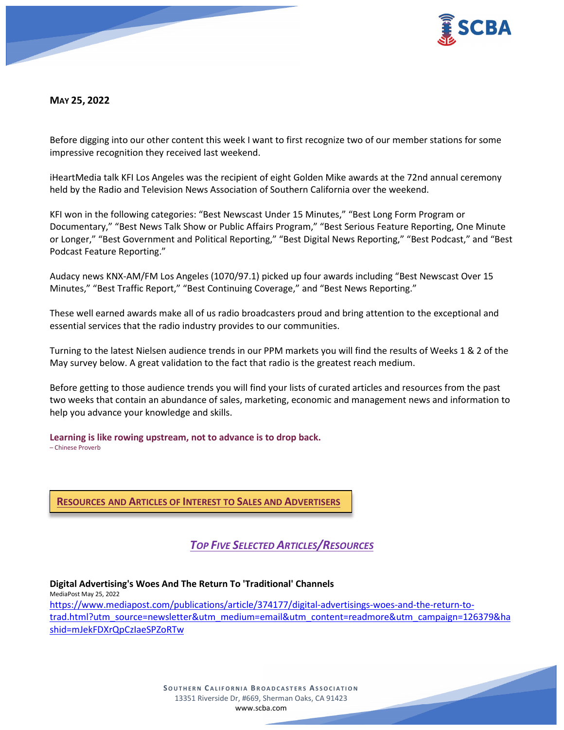

**MAY 25, 2022** 

Before digging into our other content this week I want to first recognize two of our member stations for some impressive recognition they received last weekend.

iHeartMedia talk KFI Los Angeles was the recipient of eight Golden Mike awards at the 72nd annual ceremony held by the Radio and Television News Association of Southern California over the weekend.

KFI won in the following categories: "Best Newscast Under 15 Minutes," "Best Long Form Program or Documentary," "Best News Talk Show or Public Affairs Program," "Best Serious Feature Reporting, One Minute or Longer," "Best Government and Political Reporting," "Best Digital News Reporting," "Best Podcast," and "Best Podcast Feature Reporting."

Audacy news KNX-AM/FM Los Angeles (1070/97.1) picked up four awards including "Best Newscast Over 15 Minutes," "Best Traffic Report," "Best Continuing Coverage," and "Best News Reporting."

These well earned awards make all of us radio broadcasters proud and bring attention to the exceptional and essential services that the radio industry provides to our communities.

Turning to the latest Nielsen audience trends in our PPM markets you will find the results of Weeks 1 & 2 of the May survey below. A great validation to the fact that radio is the greatest reach medium.

Before getting to those audience trends you will find your lists of curated articles and resources from the past two weeks that contain an abundance of sales, marketing, economic and management news and information to help you advance your knowledge and skills.

**Learning is like rowing upstream, not to advance is to drop back.** – Chinese Proverb

**RESOURCES AND ARTICLES OF INTEREST TO SALES AND ADVERTISERS**

*TOP FIVE SELECTED ARTICLES/RESOURCES*

**Digital Advertising's Woes And The Return To 'Traditional' Channels**

MediaPost May 25, 2022 [https://www.mediapost.com/publications/article/374177/digital-advertisings-woes-and-the-return-to](https://www.mediapost.com/publications/article/374177/digital-advertisings-woes-and-the-return-to-trad.html?utm_source=newsletter&utm_medium=email&utm_content=readmore&utm_campaign=126379&hashid=mJekFDXrQpCzIaeSPZoRTw)[trad.html?utm\\_source=newsletter&utm\\_medium=email&utm\\_content=readmore&utm\\_campaign=126379&ha](https://www.mediapost.com/publications/article/374177/digital-advertisings-woes-and-the-return-to-trad.html?utm_source=newsletter&utm_medium=email&utm_content=readmore&utm_campaign=126379&hashid=mJekFDXrQpCzIaeSPZoRTw) [shid=mJekFDXrQpCzIaeSPZoRTw](https://www.mediapost.com/publications/article/374177/digital-advertisings-woes-and-the-return-to-trad.html?utm_source=newsletter&utm_medium=email&utm_content=readmore&utm_campaign=126379&hashid=mJekFDXrQpCzIaeSPZoRTw)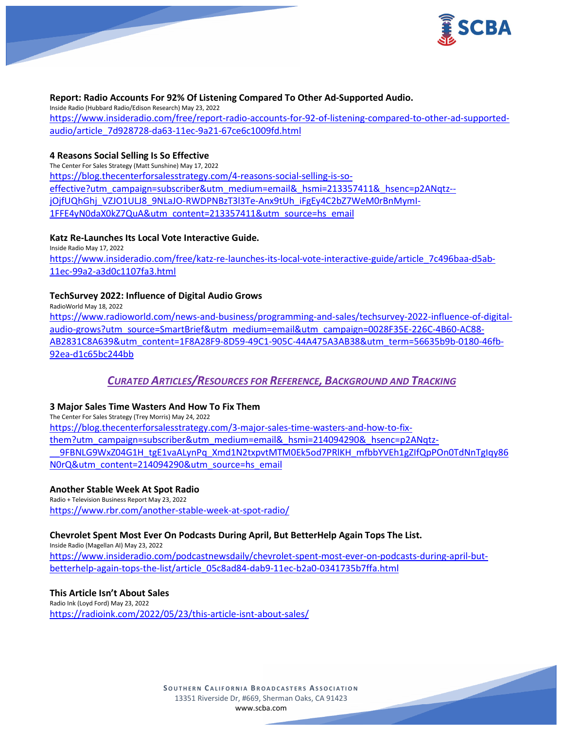

### **Report: Radio Accounts For 92% Of Listening Compared To Other Ad-Supported Audio.**

Inside Radio (Hubbard Radio/Edison Research) May 23, 2022 [https://www.insideradio.com/free/report-radio-accounts-for-92-of-listening-compared-to-other-ad-supported](https://www.insideradio.com/free/report-radio-accounts-for-92-of-listening-compared-to-other-ad-supported-audio/article_7d928728-da63-11ec-9a21-67ce6c1009fd.html)[audio/article\\_7d928728-da63-11ec-9a21-67ce6c1009fd.html](https://www.insideradio.com/free/report-radio-accounts-for-92-of-listening-compared-to-other-ad-supported-audio/article_7d928728-da63-11ec-9a21-67ce6c1009fd.html)

### **4 Reasons Social Selling Is So Effective**

The Center For Sales Strategy (Matt Sunshine) May 17, 2022 [https://blog.thecenterforsalesstrategy.com/4-reasons-social-selling-is-so](https://blog.thecenterforsalesstrategy.com/4-reasons-social-selling-is-so-effective?utm_campaign=subscriber&utm_medium=email&_hsmi=213357411&_hsenc=p2ANqtz--jOjfUQhGhj_VZJO1ULJ8_9NLaJO-RWDPNBzT3l3Te-Anx9tUh_iFgEy4C2bZ7WeM0rBnMymI-1FFE4yN0daX0kZ7QuA&utm_content=213357411&utm_source=hs_email)[effective?utm\\_campaign=subscriber&utm\\_medium=email&\\_hsmi=213357411&\\_hsenc=p2ANqtz-](https://blog.thecenterforsalesstrategy.com/4-reasons-social-selling-is-so-effective?utm_campaign=subscriber&utm_medium=email&_hsmi=213357411&_hsenc=p2ANqtz--jOjfUQhGhj_VZJO1ULJ8_9NLaJO-RWDPNBzT3l3Te-Anx9tUh_iFgEy4C2bZ7WeM0rBnMymI-1FFE4yN0daX0kZ7QuA&utm_content=213357411&utm_source=hs_email) [jOjfUQhGhj\\_VZJO1ULJ8\\_9NLaJO-RWDPNBzT3l3Te-Anx9tUh\\_iFgEy4C2bZ7WeM0rBnMymI-](https://blog.thecenterforsalesstrategy.com/4-reasons-social-selling-is-so-effective?utm_campaign=subscriber&utm_medium=email&_hsmi=213357411&_hsenc=p2ANqtz--jOjfUQhGhj_VZJO1ULJ8_9NLaJO-RWDPNBzT3l3Te-Anx9tUh_iFgEy4C2bZ7WeM0rBnMymI-1FFE4yN0daX0kZ7QuA&utm_content=213357411&utm_source=hs_email)[1FFE4yN0daX0kZ7QuA&utm\\_content=213357411&utm\\_source=hs\\_email](https://blog.thecenterforsalesstrategy.com/4-reasons-social-selling-is-so-effective?utm_campaign=subscriber&utm_medium=email&_hsmi=213357411&_hsenc=p2ANqtz--jOjfUQhGhj_VZJO1ULJ8_9NLaJO-RWDPNBzT3l3Te-Anx9tUh_iFgEy4C2bZ7WeM0rBnMymI-1FFE4yN0daX0kZ7QuA&utm_content=213357411&utm_source=hs_email)

### **Katz Re-Launches Its Local Vote Interactive Guide.**

Inside Radio May 17, 2022 [https://www.insideradio.com/free/katz-re-launches-its-local-vote-interactive-guide/article\\_7c496baa-d5ab-](https://www.insideradio.com/free/katz-re-launches-its-local-vote-interactive-guide/article_7c496baa-d5ab-11ec-99a2-a3d0c1107fa3.html)[11ec-99a2-a3d0c1107fa3.html](https://www.insideradio.com/free/katz-re-launches-its-local-vote-interactive-guide/article_7c496baa-d5ab-11ec-99a2-a3d0c1107fa3.html)

# **TechSurvey 2022: Influence of Digital Audio Grows**

RadioWorld May 18, 2022 [https://www.radioworld.com/news-and-business/programming-and-sales/techsurvey-2022-influence-of-digital](https://www.radioworld.com/news-and-business/programming-and-sales/techsurvey-2022-influence-of-digital-audio-grows?utm_source=SmartBrief&utm_medium=email&utm_campaign=0028F35E-226C-4B60-AC88-AB2831C8A639&utm_content=1F8A28F9-8D59-49C1-905C-44A475A3AB38&utm_term=56635b9b-0180-46fb-92ea-d1c65bc244bb)[audio-grows?utm\\_source=SmartBrief&utm\\_medium=email&utm\\_campaign=0028F35E-226C-4B60-AC88-](https://www.radioworld.com/news-and-business/programming-and-sales/techsurvey-2022-influence-of-digital-audio-grows?utm_source=SmartBrief&utm_medium=email&utm_campaign=0028F35E-226C-4B60-AC88-AB2831C8A639&utm_content=1F8A28F9-8D59-49C1-905C-44A475A3AB38&utm_term=56635b9b-0180-46fb-92ea-d1c65bc244bb) [AB2831C8A639&utm\\_content=1F8A28F9-8D59-49C1-905C-44A475A3AB38&utm\\_term=56635b9b-0180-46fb-](https://www.radioworld.com/news-and-business/programming-and-sales/techsurvey-2022-influence-of-digital-audio-grows?utm_source=SmartBrief&utm_medium=email&utm_campaign=0028F35E-226C-4B60-AC88-AB2831C8A639&utm_content=1F8A28F9-8D59-49C1-905C-44A475A3AB38&utm_term=56635b9b-0180-46fb-92ea-d1c65bc244bb)[92ea-d1c65bc244bb](https://www.radioworld.com/news-and-business/programming-and-sales/techsurvey-2022-influence-of-digital-audio-grows?utm_source=SmartBrief&utm_medium=email&utm_campaign=0028F35E-226C-4B60-AC88-AB2831C8A639&utm_content=1F8A28F9-8D59-49C1-905C-44A475A3AB38&utm_term=56635b9b-0180-46fb-92ea-d1c65bc244bb)

# *CURATED ARTICLES/RESOURCES FOR REFERENCE, BACKGROUND AND TRACKING*

# **3 Major Sales Time Wasters And How To Fix Them**

The Center For Sales Strategy (Trey Morris) May 24, 2022 [https://blog.thecenterforsalesstrategy.com/3-major-sales-time-wasters-and-how-to-fix](https://blog.thecenterforsalesstrategy.com/3-major-sales-time-wasters-and-how-to-fix-them?utm_campaign=subscriber&utm_medium=email&_hsmi=214094290&_hsenc=p2ANqtz-__9FBNLG9WxZ04G1H_tgE1vaALynPq_Xmd1N2txpvtMTM0Ek5od7PRlKH_mfbbYVEh1gZIfQpPOn0TdNnTgIqy86N0rQ&utm_content=214094290&utm_source=hs_email)them?utm\_campaign=subscriber&utm\_medium=email&\_hsmi=214094290&\_hsenc=p2ANgtz-[\\_\\_9FBNLG9WxZ04G1H\\_tgE1vaALynPq\\_Xmd1N2txpvtMTM0Ek5od7PRlKH\\_mfbbYVEh1gZIfQpPOn0TdNnTgIqy86](https://blog.thecenterforsalesstrategy.com/3-major-sales-time-wasters-and-how-to-fix-them?utm_campaign=subscriber&utm_medium=email&_hsmi=214094290&_hsenc=p2ANqtz-__9FBNLG9WxZ04G1H_tgE1vaALynPq_Xmd1N2txpvtMTM0Ek5od7PRlKH_mfbbYVEh1gZIfQpPOn0TdNnTgIqy86N0rQ&utm_content=214094290&utm_source=hs_email) [N0rQ&utm\\_content=214094290&utm\\_source=hs\\_email](https://blog.thecenterforsalesstrategy.com/3-major-sales-time-wasters-and-how-to-fix-them?utm_campaign=subscriber&utm_medium=email&_hsmi=214094290&_hsenc=p2ANqtz-__9FBNLG9WxZ04G1H_tgE1vaALynPq_Xmd1N2txpvtMTM0Ek5od7PRlKH_mfbbYVEh1gZIfQpPOn0TdNnTgIqy86N0rQ&utm_content=214094290&utm_source=hs_email)

# **Another Stable Week At Spot Radio**

Radio + Television Business Report May 23, 2022 <https://www.rbr.com/another-stable-week-at-spot-radio/>

# **Chevrolet Spent Most Ever On Podcasts During April, But BetterHelp Again Tops The List.**

Inside Radio (Magellan AI) May 23, 2022

[https://www.insideradio.com/podcastnewsdaily/chevrolet-spent-most-ever-on-podcasts-during-april-but](https://www.insideradio.com/podcastnewsdaily/chevrolet-spent-most-ever-on-podcasts-during-april-but-betterhelp-again-tops-the-list/article_05c8ad84-dab9-11ec-b2a0-0341735b7ffa.html)[betterhelp-again-tops-the-list/article\\_05c8ad84-dab9-11ec-b2a0-0341735b7ffa.html](https://www.insideradio.com/podcastnewsdaily/chevrolet-spent-most-ever-on-podcasts-during-april-but-betterhelp-again-tops-the-list/article_05c8ad84-dab9-11ec-b2a0-0341735b7ffa.html)

### **This Article Isn't About Sales**

Radio Ink (Loyd Ford) May 23, 2022 <https://radioink.com/2022/05/23/this-article-isnt-about-sales/>

> **SOUTHERN C ALIFORNIA B ROADCASTERS ASSOCIATION** 13351 Riverside Dr, #669, Sherman Oaks, CA 91423 [www.scba.com](http://www.scba.com/)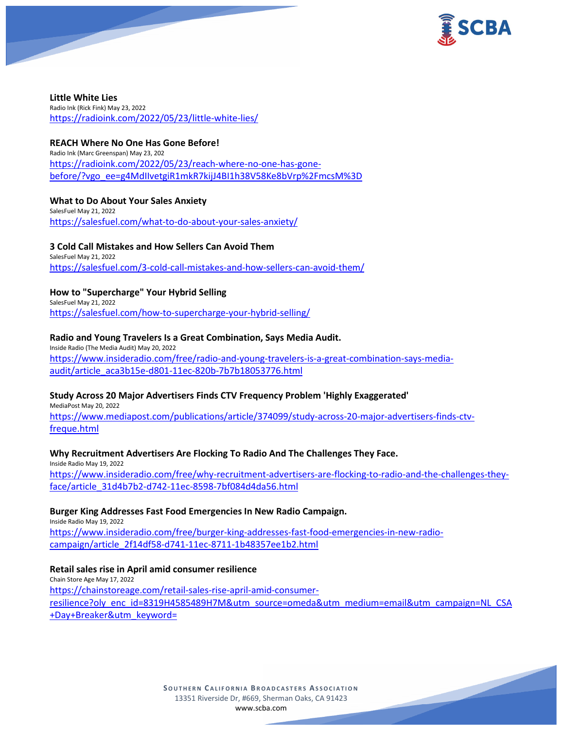

**Little White Lies** Radio Ink (Rick Fink) May 23, 2022 <https://radioink.com/2022/05/23/little-white-lies/>

### **REACH Where No One Has Gone Before!**

Radio Ink (Marc Greenspan) May 23, 202 [https://radioink.com/2022/05/23/reach-where-no-one-has-gone](https://radioink.com/2022/05/23/reach-where-no-one-has-gone-before/?vgo_ee=g4MdIIvetgiR1mkR7kijJ4BI1h38V58Ke8bVrp%2FmcsM%3D)[before/?vgo\\_ee=g4MdIIvetgiR1mkR7kijJ4BI1h38V58Ke8bVrp%2FmcsM%3D](https://radioink.com/2022/05/23/reach-where-no-one-has-gone-before/?vgo_ee=g4MdIIvetgiR1mkR7kijJ4BI1h38V58Ke8bVrp%2FmcsM%3D)

### **What to Do About Your Sales Anxiety**

SalesFuel May 21, 2022 <https://salesfuel.com/what-to-do-about-your-sales-anxiety/>

#### **3 Cold Call Mistakes and How Sellers Can Avoid Them** SalesFuel May 21, 2022

<https://salesfuel.com/3-cold-call-mistakes-and-how-sellers-can-avoid-them/>

# **How to "Supercharge" Your Hybrid Selling**

SalesFuel May 21, 2022 <https://salesfuel.com/how-to-supercharge-your-hybrid-selling/>

### **Radio and Young Travelers Is a Great Combination, Says Media Audit.**

Inside Radio (The Media Audit) May 20, 2022 [https://www.insideradio.com/free/radio-and-young-travelers-is-a-great-combination-says-media](https://www.insideradio.com/free/radio-and-young-travelers-is-a-great-combination-says-media-audit/article_aca3b15e-d801-11ec-820b-7b7b18053776.html)[audit/article\\_aca3b15e-d801-11ec-820b-7b7b18053776.html](https://www.insideradio.com/free/radio-and-young-travelers-is-a-great-combination-says-media-audit/article_aca3b15e-d801-11ec-820b-7b7b18053776.html)

# **Study Across 20 Major Advertisers Finds CTV Frequency Problem 'Highly Exaggerated'**

MediaPost May 20, 2022

[https://www.mediapost.com/publications/article/374099/study-across-20-major-advertisers-finds-ctv](https://www.mediapost.com/publications/article/374099/study-across-20-major-advertisers-finds-ctv-freque.html)[freque.html](https://www.mediapost.com/publications/article/374099/study-across-20-major-advertisers-finds-ctv-freque.html)

# **Why Recruitment Advertisers Are Flocking To Radio And The Challenges They Face.**

Inside Radio May 19, 2022 [https://www.insideradio.com/free/why-recruitment-advertisers-are-flocking-to-radio-and-the-challenges-they](https://www.insideradio.com/free/why-recruitment-advertisers-are-flocking-to-radio-and-the-challenges-they-face/article_31d4b7b2-d742-11ec-8598-7bf084d4da56.html)[face/article\\_31d4b7b2-d742-11ec-8598-7bf084d4da56.html](https://www.insideradio.com/free/why-recruitment-advertisers-are-flocking-to-radio-and-the-challenges-they-face/article_31d4b7b2-d742-11ec-8598-7bf084d4da56.html)

# **Burger King Addresses Fast Food Emergencies In New Radio Campaign.**

Inside Radio May 19, 2022 [https://www.insideradio.com/free/burger-king-addresses-fast-food-emergencies-in-new-radio](https://www.insideradio.com/free/burger-king-addresses-fast-food-emergencies-in-new-radio-campaign/article_2f14df58-d741-11ec-8711-1b48357ee1b2.html)[campaign/article\\_2f14df58-d741-11ec-8711-1b48357ee1b2.html](https://www.insideradio.com/free/burger-king-addresses-fast-food-emergencies-in-new-radio-campaign/article_2f14df58-d741-11ec-8711-1b48357ee1b2.html)

### **Retail sales rise in April amid consumer resilience**

Chain Store Age May 17, 2022 [https://chainstoreage.com/retail-sales-rise-april-amid-consumer](https://chainstoreage.com/retail-sales-rise-april-amid-consumer-resilience?oly_enc_id=8319H4585489H7M&utm_source=omeda&utm_medium=email&utm_campaign=NL_CSA+Day+Breaker&utm_keyword=)[resilience?oly\\_enc\\_id=8319H4585489H7M&utm\\_source=omeda&utm\\_medium=email&utm\\_campaign=NL\\_CSA](https://chainstoreage.com/retail-sales-rise-april-amid-consumer-resilience?oly_enc_id=8319H4585489H7M&utm_source=omeda&utm_medium=email&utm_campaign=NL_CSA+Day+Breaker&utm_keyword=) [+Day+Breaker&utm\\_keyword=](https://chainstoreage.com/retail-sales-rise-april-amid-consumer-resilience?oly_enc_id=8319H4585489H7M&utm_source=omeda&utm_medium=email&utm_campaign=NL_CSA+Day+Breaker&utm_keyword=)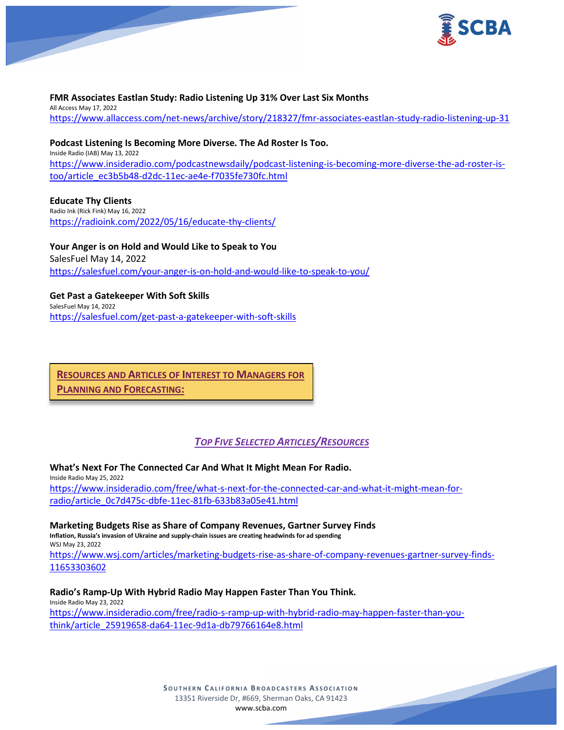

## **FMR Associates Eastlan Study: Radio Listening Up 31% Over Last Six Months**

All Access May 17, 2022 <https://www.allaccess.com/net-news/archive/story/218327/fmr-associates-eastlan-study-radio-listening-up-31>

### **Podcast Listening Is Becoming More Diverse. The Ad Roster Is Too.** Inside Radio (IAB) May 13, 2022 [https://www.insideradio.com/podcastnewsdaily/podcast-listening-is-becoming-more-diverse-the-ad-roster-is](https://www.insideradio.com/podcastnewsdaily/podcast-listening-is-becoming-more-diverse-the-ad-roster-is-too/article_ec3b5b48-d2dc-11ec-ae4e-f7035fe730fc.html)[too/article\\_ec3b5b48-d2dc-11ec-ae4e-f7035fe730fc.html](https://www.insideradio.com/podcastnewsdaily/podcast-listening-is-becoming-more-diverse-the-ad-roster-is-too/article_ec3b5b48-d2dc-11ec-ae4e-f7035fe730fc.html)

**Educate Thy Clients** Radio Ink (Rick Fink) May 16, 2022 <https://radioink.com/2022/05/16/educate-thy-clients/>

**Your Anger is on Hold and Would Like to Speak to You** SalesFuel May 14, 2022 <https://salesfuel.com/your-anger-is-on-hold-and-would-like-to-speak-to-you/>

**Get Past a Gatekeeper With Soft Skills** SalesFuel May 14, 2022 <https://salesfuel.com/get-past-a-gatekeeper-with-soft-skills>

**RESOURCES AND ARTICLES OF INTEREST TO MANAGERS FOR PLANNING AND FORECASTING:**

# *TOP FIVE SELECTED ARTICLES/RESOURCES*

**What's Next For The Connected Car And What It Might Mean For Radio.**

Inside Radio May 25, 2022 [https://www.insideradio.com/free/what-s-next-for-the-connected-car-and-what-it-might-mean-for](https://www.insideradio.com/free/what-s-next-for-the-connected-car-and-what-it-might-mean-for-radio/article_0c7d475c-dbfe-11ec-81fb-633b83a05e41.html)[radio/article\\_0c7d475c-dbfe-11ec-81fb-633b83a05e41.html](https://www.insideradio.com/free/what-s-next-for-the-connected-car-and-what-it-might-mean-for-radio/article_0c7d475c-dbfe-11ec-81fb-633b83a05e41.html)

**Marketing Budgets Rise as Share of Company Revenues, Gartner Survey Finds Inflation, Russia's invasion of Ukraine and supply-chain issues are creating headwinds for ad spending** WSJ May 23, 2022 [https://www.wsj.com/articles/marketing-budgets-rise-as-share-of-company-revenues-gartner-survey-finds-](https://www.wsj.com/articles/marketing-budgets-rise-as-share-of-company-revenues-gartner-survey-finds-11653303602)[11653303602](https://www.wsj.com/articles/marketing-budgets-rise-as-share-of-company-revenues-gartner-survey-finds-11653303602)

**Radio's Ramp-Up With Hybrid Radio May Happen Faster Than You Think.** Inside Radio May 23, 2022 [https://www.insideradio.com/free/radio-s-ramp-up-with-hybrid-radio-may-happen-faster-than-you](https://www.insideradio.com/free/radio-s-ramp-up-with-hybrid-radio-may-happen-faster-than-you-think/article_25919658-da64-11ec-9d1a-db79766164e8.html)[think/article\\_25919658-da64-11ec-9d1a-db79766164e8.html](https://www.insideradio.com/free/radio-s-ramp-up-with-hybrid-radio-may-happen-faster-than-you-think/article_25919658-da64-11ec-9d1a-db79766164e8.html)

> **SOUTHERN C ALIFORNIA B ROADCASTERS ASSOCIATION** 13351 Riverside Dr, #669, Sherman Oaks, CA 91423 [www.scba.com](http://www.scba.com/)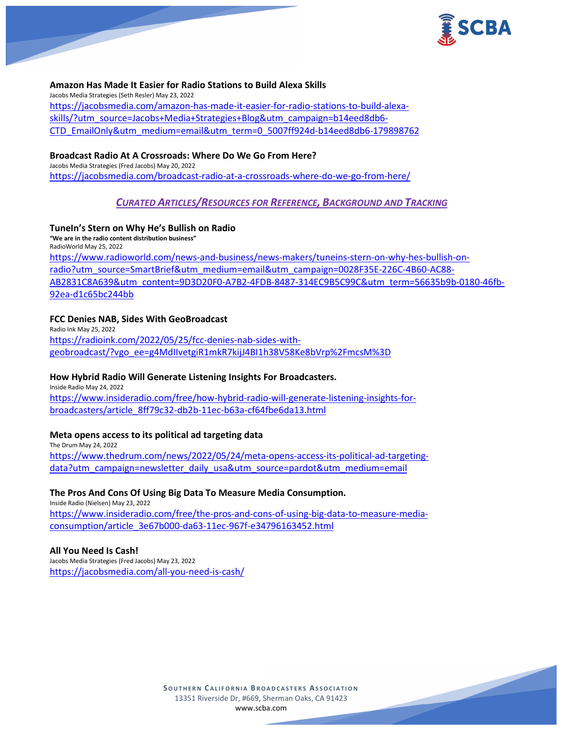

### **Amazon Has Made It Easier for Radio Stations to Build Alexa Skills**

Jacobs Media Strategies (Seth Resler) May 23, 2022 [https://jacobsmedia.com/amazon-has-made-it-easier-for-radio-stations-to-build-alexa](https://jacobsmedia.com/amazon-has-made-it-easier-for-radio-stations-to-build-alexa-skills/?utm_source=Jacobs+Media+Strategies+Blog&utm_campaign=b14eed8db6-CTD_EmailOnly&utm_medium=email&utm_term=0_5007ff924d-b14eed8db6-179898762)[skills/?utm\\_source=Jacobs+Media+Strategies+Blog&utm\\_campaign=b14eed8db6-](https://jacobsmedia.com/amazon-has-made-it-easier-for-radio-stations-to-build-alexa-skills/?utm_source=Jacobs+Media+Strategies+Blog&utm_campaign=b14eed8db6-CTD_EmailOnly&utm_medium=email&utm_term=0_5007ff924d-b14eed8db6-179898762) [CTD\\_EmailOnly&utm\\_medium=email&utm\\_term=0\\_5007ff924d-b14eed8db6-179898762](https://jacobsmedia.com/amazon-has-made-it-easier-for-radio-stations-to-build-alexa-skills/?utm_source=Jacobs+Media+Strategies+Blog&utm_campaign=b14eed8db6-CTD_EmailOnly&utm_medium=email&utm_term=0_5007ff924d-b14eed8db6-179898762)

### **Broadcast Radio At A Crossroads: Where Do We Go From Here?**

Jacobs Media Strategies (Fred Jacobs) May 20, 2022 <https://jacobsmedia.com/broadcast-radio-at-a-crossroads-where-do-we-go-from-here/>

# *CURATED ARTICLES/RESOURCES FOR REFERENCE, BACKGROUND AND TRACKING*

### **TuneIn's Stern on Why He's Bullish on Radio**

**"We are in the radio content distribution business"** RadioWorld May 25, 2022 [https://www.radioworld.com/news-and-business/news-makers/tuneins-stern-on-why-hes-bullish-on](https://www.radioworld.com/news-and-business/news-makers/tuneins-stern-on-why-hes-bullish-on-radio?utm_source=SmartBrief&utm_medium=email&utm_campaign=0028F35E-226C-4B60-AC88-AB2831C8A639&utm_content=9D3D20F0-A7B2-4FDB-8487-314EC9B5C99C&utm_term=56635b9b-0180-46fb-92ea-d1c65bc244bb)[radio?utm\\_source=SmartBrief&utm\\_medium=email&utm\\_campaign=0028F35E-226C-4B60-AC88-](https://www.radioworld.com/news-and-business/news-makers/tuneins-stern-on-why-hes-bullish-on-radio?utm_source=SmartBrief&utm_medium=email&utm_campaign=0028F35E-226C-4B60-AC88-AB2831C8A639&utm_content=9D3D20F0-A7B2-4FDB-8487-314EC9B5C99C&utm_term=56635b9b-0180-46fb-92ea-d1c65bc244bb) [AB2831C8A639&utm\\_content=9D3D20F0-A7B2-4FDB-8487-314EC9B5C99C&utm\\_term=56635b9b-0180-46fb-](https://www.radioworld.com/news-and-business/news-makers/tuneins-stern-on-why-hes-bullish-on-radio?utm_source=SmartBrief&utm_medium=email&utm_campaign=0028F35E-226C-4B60-AC88-AB2831C8A639&utm_content=9D3D20F0-A7B2-4FDB-8487-314EC9B5C99C&utm_term=56635b9b-0180-46fb-92ea-d1c65bc244bb)[92ea-d1c65bc244bb](https://www.radioworld.com/news-and-business/news-makers/tuneins-stern-on-why-hes-bullish-on-radio?utm_source=SmartBrief&utm_medium=email&utm_campaign=0028F35E-226C-4B60-AC88-AB2831C8A639&utm_content=9D3D20F0-A7B2-4FDB-8487-314EC9B5C99C&utm_term=56635b9b-0180-46fb-92ea-d1c65bc244bb)

### **FCC Denies NAB, Sides With GeoBroadcast**

Radio Ink May 25, 2022 [https://radioink.com/2022/05/25/fcc-denies-nab-sides-with](https://radioink.com/2022/05/25/fcc-denies-nab-sides-with-geobroadcast/?vgo_ee=g4MdIIvetgiR1mkR7kijJ4BI1h38V58Ke8bVrp%2FmcsM%3D)[geobroadcast/?vgo\\_ee=g4MdIIvetgiR1mkR7kijJ4BI1h38V58Ke8bVrp%2FmcsM%3D](https://radioink.com/2022/05/25/fcc-denies-nab-sides-with-geobroadcast/?vgo_ee=g4MdIIvetgiR1mkR7kijJ4BI1h38V58Ke8bVrp%2FmcsM%3D)

#### **How Hybrid Radio Will Generate Listening Insights For Broadcasters.**

Inside Radio May 24, 2022 [https://www.insideradio.com/free/how-hybrid-radio-will-generate-listening-insights-for](https://www.insideradio.com/free/how-hybrid-radio-will-generate-listening-insights-for-broadcasters/article_8ff79c32-db2b-11ec-b63a-cf64fbe6da13.html)[broadcasters/article\\_8ff79c32-db2b-11ec-b63a-cf64fbe6da13.html](https://www.insideradio.com/free/how-hybrid-radio-will-generate-listening-insights-for-broadcasters/article_8ff79c32-db2b-11ec-b63a-cf64fbe6da13.html)

#### **Meta opens access to its political ad targeting data**

The Drum May 24, 2022 [https://www.thedrum.com/news/2022/05/24/meta-opens-access-its-political-ad-targeting](https://www.thedrum.com/news/2022/05/24/meta-opens-access-its-political-ad-targeting-data?utm_campaign=newsletter_daily_usa&utm_source=pardot&utm_medium=email)[data?utm\\_campaign=newsletter\\_daily\\_usa&utm\\_source=pardot&utm\\_medium=email](https://www.thedrum.com/news/2022/05/24/meta-opens-access-its-political-ad-targeting-data?utm_campaign=newsletter_daily_usa&utm_source=pardot&utm_medium=email)

### **The Pros And Cons Of Using Big Data To Measure Media Consumption.**

Inside Radio (Nielsen) May 23, 2022 [https://www.insideradio.com/free/the-pros-and-cons-of-using-big-data-to-measure-media](https://www.insideradio.com/free/the-pros-and-cons-of-using-big-data-to-measure-media-consumption/article_3e67b000-da63-11ec-967f-e34796163452.html)[consumption/article\\_3e67b000-da63-11ec-967f-e34796163452.html](https://www.insideradio.com/free/the-pros-and-cons-of-using-big-data-to-measure-media-consumption/article_3e67b000-da63-11ec-967f-e34796163452.html)

#### **All You Need Is Cash!**

Jacobs Media Strategies (Fred Jacobs) May 23, 2022 <https://jacobsmedia.com/all-you-need-is-cash/>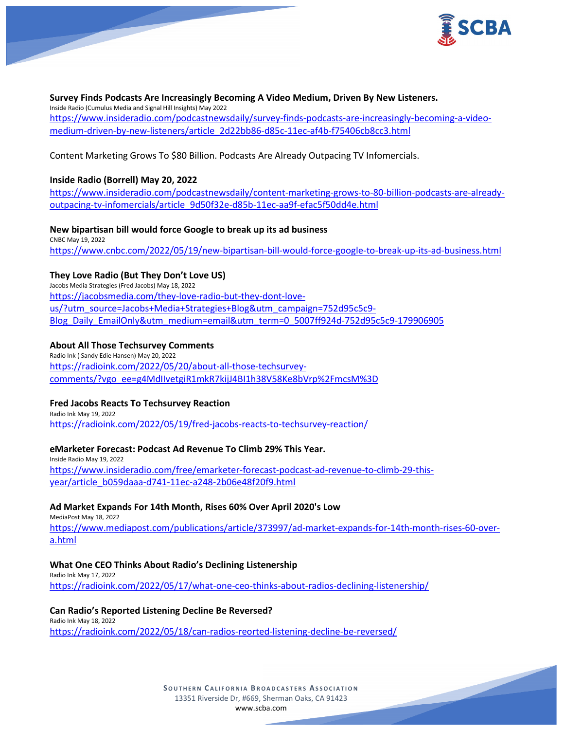

### **Survey Finds Podcasts Are Increasingly Becoming A Video Medium, Driven By New Listeners.** Inside Radio (Cumulus Media and Signal Hill Insights) May 2022 [https://www.insideradio.com/podcastnewsdaily/survey-finds-podcasts-are-increasingly-becoming-a-video](https://www.insideradio.com/podcastnewsdaily/survey-finds-podcasts-are-increasingly-becoming-a-video-medium-driven-by-new-listeners/article_2d22bb86-d85c-11ec-af4b-f75406cb8cc3.html)[medium-driven-by-new-listeners/article\\_2d22bb86-d85c-11ec-af4b-f75406cb8cc3.html](https://www.insideradio.com/podcastnewsdaily/survey-finds-podcasts-are-increasingly-becoming-a-video-medium-driven-by-new-listeners/article_2d22bb86-d85c-11ec-af4b-f75406cb8cc3.html)

Content Marketing Grows To \$80 Billion. Podcasts Are Already Outpacing TV Infomercials.

# **Inside Radio (Borrell) May 20, 2022**

[https://www.insideradio.com/podcastnewsdaily/content-marketing-grows-to-80-billion-podcasts-are-already](https://www.insideradio.com/podcastnewsdaily/content-marketing-grows-to-80-billion-podcasts-are-already-outpacing-tv-infomercials/article_9d50f32e-d85b-11ec-aa9f-efac5f50dd4e.html)[outpacing-tv-infomercials/article\\_9d50f32e-d85b-11ec-aa9f-efac5f50dd4e.html](https://www.insideradio.com/podcastnewsdaily/content-marketing-grows-to-80-billion-podcasts-are-already-outpacing-tv-infomercials/article_9d50f32e-d85b-11ec-aa9f-efac5f50dd4e.html)

### **New bipartisan bill would force Google to break up its ad business**

CNBC May 19, 2022 <https://www.cnbc.com/2022/05/19/new-bipartisan-bill-would-force-google-to-break-up-its-ad-business.html>

# **They Love Radio (But They Don't Love US)**

Jacobs Media Strategies (Fred Jacobs) May 18, 2022 [https://jacobsmedia.com/they-love-radio-but-they-dont-love](https://jacobsmedia.com/they-love-radio-but-they-dont-love-us/?utm_source=Jacobs+Media+Strategies+Blog&utm_campaign=752d95c5c9-Blog_Daily_EmailOnly&utm_medium=email&utm_term=0_5007ff924d-752d95c5c9-179906905)[us/?utm\\_source=Jacobs+Media+Strategies+Blog&utm\\_campaign=752d95c5c9-](https://jacobsmedia.com/they-love-radio-but-they-dont-love-us/?utm_source=Jacobs+Media+Strategies+Blog&utm_campaign=752d95c5c9-Blog_Daily_EmailOnly&utm_medium=email&utm_term=0_5007ff924d-752d95c5c9-179906905) [Blog\\_Daily\\_EmailOnly&utm\\_medium=email&utm\\_term=0\\_5007ff924d-752d95c5c9-179906905](https://jacobsmedia.com/they-love-radio-but-they-dont-love-us/?utm_source=Jacobs+Media+Strategies+Blog&utm_campaign=752d95c5c9-Blog_Daily_EmailOnly&utm_medium=email&utm_term=0_5007ff924d-752d95c5c9-179906905)

### **About All Those Techsurvey Comments**

Radio Ink ( Sandy Edie Hansen) May 20, 2022 [https://radioink.com/2022/05/20/about-all-those-techsurvey](https://radioink.com/2022/05/20/about-all-those-techsurvey-comments/?vgo_ee=g4MdIIvetgiR1mkR7kijJ4BI1h38V58Ke8bVrp%2FmcsM%3D)[comments/?vgo\\_ee=g4MdIIvetgiR1mkR7kijJ4BI1h38V58Ke8bVrp%2FmcsM%3D](https://radioink.com/2022/05/20/about-all-those-techsurvey-comments/?vgo_ee=g4MdIIvetgiR1mkR7kijJ4BI1h38V58Ke8bVrp%2FmcsM%3D)

# **Fred Jacobs Reacts To Techsurvey Reaction**

Radio Ink May 19, 2022 <https://radioink.com/2022/05/19/fred-jacobs-reacts-to-techsurvey-reaction/>

# **eMarketer Forecast: Podcast Ad Revenue To Climb 29% This Year.**

Inside Radio May 19, 2022 [https://www.insideradio.com/free/emarketer-forecast-podcast-ad-revenue-to-climb-29-this](https://www.insideradio.com/free/emarketer-forecast-podcast-ad-revenue-to-climb-29-this-year/article_b059daaa-d741-11ec-a248-2b06e48f20f9.html)[year/article\\_b059daaa-d741-11ec-a248-2b06e48f20f9.html](https://www.insideradio.com/free/emarketer-forecast-podcast-ad-revenue-to-climb-29-this-year/article_b059daaa-d741-11ec-a248-2b06e48f20f9.html)

# **Ad Market Expands For 14th Month, Rises 60% Over April 2020's Low**

MediaPost May 18, 2022

[https://www.mediapost.com/publications/article/373997/ad-market-expands-for-14th-month-rises-60-over](https://www.mediapost.com/publications/article/373997/ad-market-expands-for-14th-month-rises-60-over-a.html)[a.html](https://www.mediapost.com/publications/article/373997/ad-market-expands-for-14th-month-rises-60-over-a.html)

# **What One CEO Thinks About Radio's Declining Listenership**

Radio Ink May 17, 2022 <https://radioink.com/2022/05/17/what-one-ceo-thinks-about-radios-declining-listenership/>

#### **Can Radio's Reported Listening Decline Be Reversed?** Radio Ink May 18, 2022

<https://radioink.com/2022/05/18/can-radios-reorted-listening-decline-be-reversed/>

**SOUTHERN C ALIFORNIA B ROADCASTERS ASSOCIATION** 13351 Riverside Dr, #669, Sherman Oaks, CA 91423 [www.scba.com](http://www.scba.com/)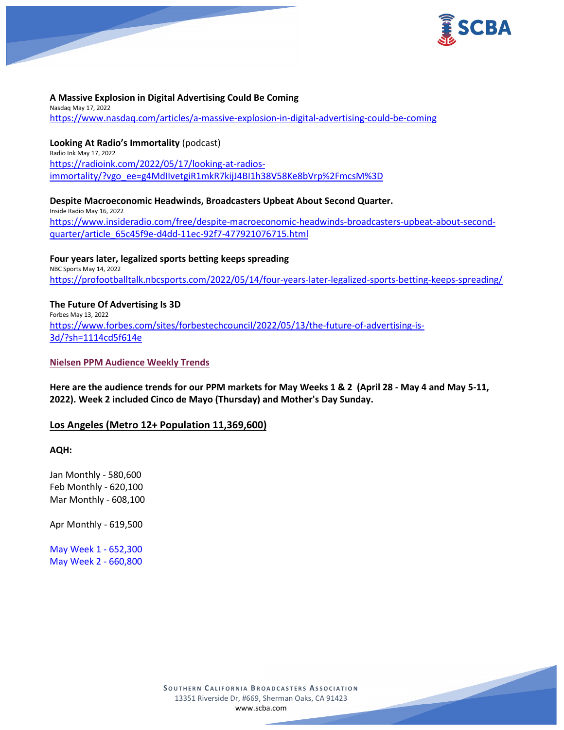

### **A Massive Explosion in Digital Advertising Could Be Coming**

Nasdaq May 17, 2022 <https://www.nasdaq.com/articles/a-massive-explosion-in-digital-advertising-could-be-coming>

**Looking At Radio's Immortality** (podcast) Radio Ink May 17, 2022 [https://radioink.com/2022/05/17/looking-at-radios](https://radioink.com/2022/05/17/looking-at-radios-immortality/?vgo_ee=g4MdIIvetgiR1mkR7kijJ4BI1h38V58Ke8bVrp%2FmcsM%3D)[immortality/?vgo\\_ee=g4MdIIvetgiR1mkR7kijJ4BI1h38V58Ke8bVrp%2FmcsM%3D](https://radioink.com/2022/05/17/looking-at-radios-immortality/?vgo_ee=g4MdIIvetgiR1mkR7kijJ4BI1h38V58Ke8bVrp%2FmcsM%3D)

**Despite Macroeconomic Headwinds, Broadcasters Upbeat About Second Quarter.** Inside Radio May 16, 2022 [https://www.insideradio.com/free/despite-macroeconomic-headwinds-broadcasters-upbeat-about-second](https://www.insideradio.com/free/despite-macroeconomic-headwinds-broadcasters-upbeat-about-second-quarter/article_65c45f9e-d4dd-11ec-92f7-477921076715.html)[quarter/article\\_65c45f9e-d4dd-11ec-92f7-477921076715.html](https://www.insideradio.com/free/despite-macroeconomic-headwinds-broadcasters-upbeat-about-second-quarter/article_65c45f9e-d4dd-11ec-92f7-477921076715.html)

**Four years later, legalized sports betting keeps spreading** NBC Sports May 14, 2022 <https://profootballtalk.nbcsports.com/2022/05/14/four-years-later-legalized-sports-betting-keeps-spreading/>

#### **The Future Of Advertising Is 3D** Forbes May 13, 2022

[https://www.forbes.com/sites/forbestechcouncil/2022/05/13/the-future-of-advertising-is-](https://www.forbes.com/sites/forbestechcouncil/2022/05/13/the-future-of-advertising-is-3d/?sh=1114cd5f614e)[3d/?sh=1114cd5f614e](https://www.forbes.com/sites/forbestechcouncil/2022/05/13/the-future-of-advertising-is-3d/?sh=1114cd5f614e)

### **Nielsen PPM Audience Weekly Trends**

**Here are the audience trends for our PPM markets for May Weeks 1 & 2 (April 28 - May 4 and May 5-11, 2022). Week 2 included Cinco de Mayo (Thursday) and Mother's Day Sunday.**

# **Los Angeles (Metro 12+ Population 11,369,600)**

**AQH:**

Jan Monthly - 580,600 Feb Monthly - 620,100 Mar Monthly - 608,100

Apr Monthly - 619,500

May Week 1 - 652,300 May Week 2 - 660,800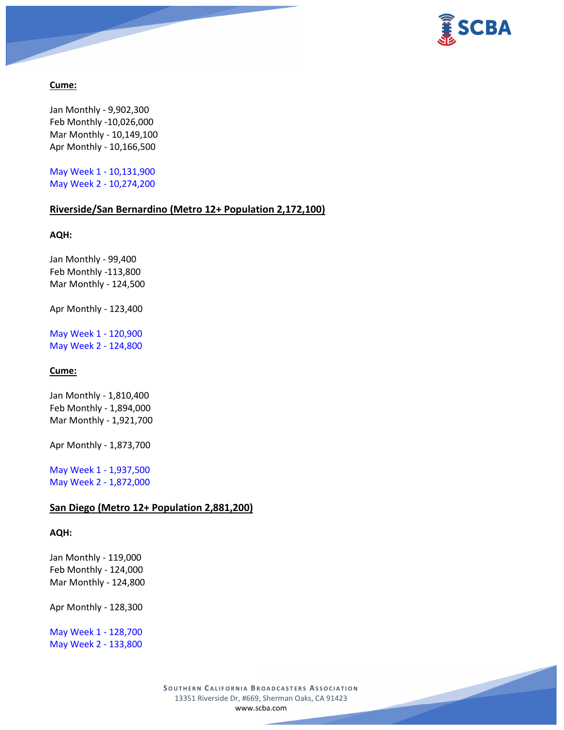

### **Cume:**

Jan Monthly - 9,902,300 Feb Monthly -10,026,000 Mar Monthly - 10,149,100 Apr Monthly - 10,166,500

May Week 1 - 10,131,900 May Week 2 - 10,274,200

# **Riverside/San Bernardino (Metro 12+ Population 2,172,100)**

**AQH:**

Jan Monthly - 99,400 Feb Monthly -113,800 Mar Monthly - 124,500

Apr Monthly - 123,400

May Week 1 - 120,900 May Week 2 - 124,800

# **Cume:**

Jan Monthly - 1,810,400 Feb Monthly - 1,894,000 Mar Monthly - 1,921,700

Apr Monthly - 1,873,700

May Week 1 - 1,937,500 May Week 2 - 1,872,000

# **San Diego (Metro 12+ Population 2,881,200)**

### **AQH:**

Jan Monthly - 119,000 Feb Monthly - 124,000 Mar Monthly - 124,800

Apr Monthly - 128,300

May Week 1 - 128,700 May Week 2 - 133,800